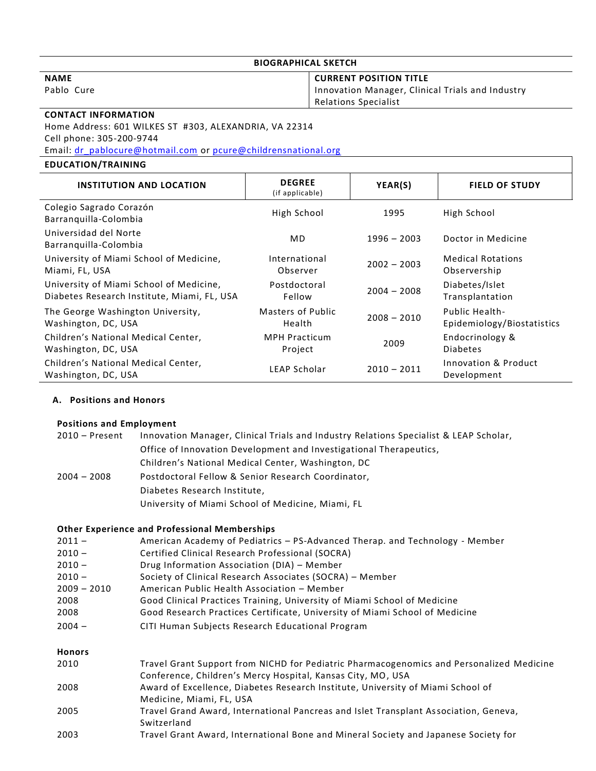## **BIOGRAPHICAL SKETCH**

**NAME**

Pablo Cure

## **CURRENT POSITION TITLE**

Innovation Manager, Clinical Trials and Industry Relations Specialist

# **CONTACT INFORMATION**

Home Address: 601 WILKES ST #303, ALEXANDRIA, VA 22314 Cell phone: 305-200-9744

Email: [dr\\_pablocure@hotmail.com](mailto:dr_pablocure@hotmail.com) or [pcure@childrensnational.org](mailto:pcure@childrensnational.org)

# **EDUCATION/TRAINING**

| <b>INSTITUTION AND LOCATION</b>                            | <b>DEGREE</b><br>(if applicable) | YEAR(S)       | <b>FIELD OF STUDY</b>               |
|------------------------------------------------------------|----------------------------------|---------------|-------------------------------------|
| Colegio Sagrado Corazón<br>Barranquilla-Colombia           | High School                      | 1995          | High School                         |
| Universidad del Norte<br>Barranquilla-Colombia             | <b>MD</b>                        | $1996 - 2003$ | Doctor in Medicine                  |
| University of Miami School of Medicine,                    | International                    | $2002 - 2003$ | <b>Medical Rotations</b>            |
| Miami, FL, USA                                             | Observer                         |               | Observership                        |
| University of Miami School of Medicine,                    | Postdoctoral                     | $2004 - 2008$ | Diabetes/Islet                      |
| Diabetes Research Institute, Miami, FL, USA                | Fellow                           |               | Transplantation                     |
| The George Washington University,                          | Masters of Public                | $2008 - 2010$ | Public Health-                      |
| Washington, DC, USA                                        | Health                           |               | Epidemiology/Biostatistics          |
| Children's National Medical Center,                        | <b>MPH Practicum</b>             | 2009          | Endocrinology &                     |
| Washington, DC, USA                                        | Project                          |               | <b>Diabetes</b>                     |
| Children's National Medical Center,<br>Washington, DC, USA | LEAP Scholar                     | $2010 - 2011$ | Innovation & Product<br>Development |

# **A. Positions and Honors**

## **Positions and Employment**

| 2010 – Present | Innovation Manager, Clinical Trials and Industry Relations Specialist & LEAP Scholar, |  |  |
|----------------|---------------------------------------------------------------------------------------|--|--|
|                | Office of Innovation Development and Investigational Therapeutics,                    |  |  |
|                | Children's National Medical Center, Washington, DC                                    |  |  |
| $2004 - 2008$  | Postdoctoral Fellow & Senior Research Coordinator,                                    |  |  |
|                | Diabetes Research Institute,                                                          |  |  |
|                | University of Miami School of Medicine, Miami, FL                                     |  |  |

## **Other Experience and Professional Memberships**

| $2011 -$      | American Academy of Pediatrics - PS-Advanced Therap. and Technology - Member |
|---------------|------------------------------------------------------------------------------|
| $2010 -$      | Certified Clinical Research Professional (SOCRA)                             |
| $2010 -$      | Drug Information Association (DIA) - Member                                  |
| $2010 -$      | Society of Clinical Research Associates (SOCRA) - Member                     |
| $2009 - 2010$ | American Public Health Association - Member                                  |
| 2008          | Good Clinical Practices Training, University of Miami School of Medicine     |
| 2008          | Good Research Practices Certificate, University of Miami School of Medicine  |
| $2004 -$      | CITI Human Subjects Research Educational Program                             |
| <b>Honors</b> |                                                                              |

| 2010 | Travel Grant Support from NICHD for Pediatric Pharmacogenomics and Personalized Medicine |
|------|------------------------------------------------------------------------------------------|
|      | Conference, Children's Mercy Hospital, Kansas City, MO, USA                              |
| 2008 | Award of Excellence, Diabetes Research Institute, University of Miami School of          |
|      | Medicine, Miami, FL, USA                                                                 |
| 2005 | Travel Grand Award, International Pancreas and Islet Transplant Association, Geneva,     |
|      | Switzerland                                                                              |
| 2003 | Travel Grant Award, International Bone and Mineral Society and Japanese Society for      |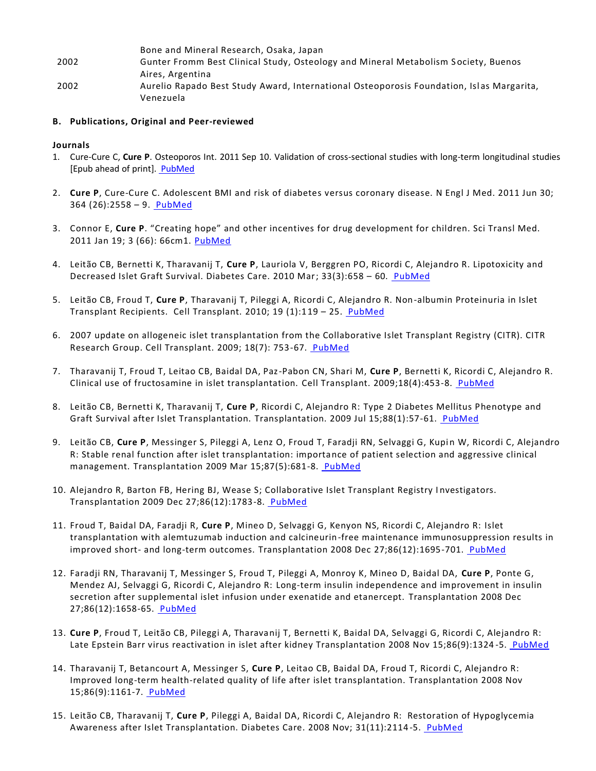Bone and Mineral Research, Osaka, Japan 2002 Gunter Fromm Best Clinical Study, Osteology and Mineral Metabolism S ociety, Buenos Aires, Argentina 2002 Aurelio Rapado Best Study Award, International Osteoporosis Foundation, Islas Margarita, Venezuela

#### **B. Publications, Original and Peer-reviewed**

#### **Journals**

- 1. [Cure-Cure C,](http://www.ncbi.nlm.nih.gov/pubmed?term=%22Cure-Cure%20C%22%5BAuthor%5D) **[Cure P](http://www.ncbi.nlm.nih.gov/pubmed?term=%22Cure%20P%22%5BAuthor%5D)**. [Osteoporos Int.](http://www.ncbi.nlm.nih.gov/pubmed/21909726##) 2011 Sep 10. Validation of cross-sectional studies with long-term longitudinal studies [Epub ahead of print]. [PubMed](http://www.ncbi.nlm.nih.gov/pubmed/21909726)
- 2. **Cure P**, Cure-Cure C. Adolescent BMI and risk of diabetes versus coronary disease. N Engl J Med. 2011 Jun 30; 364 (26):2558 – 9. [PubMed](http://www.ncbi.nlm.nih.gov/pubmed/21714666)
- 3. Connor E, **Cure P**. "Creating hope" and other incentives for drug development for children. Sci Transl Med. 2011 Jan 19; 3 (66): 66cm1. [PubMed](http://www.ncbi.nlm.nih.gov/pubmed/21248312)
- 4. Leitão CB, Bernetti K, Tharavanij T, **Cure P**, Lauriola V, Berggren PO, Ricordi C, Alejandro R. Lipotoxicity and Decreased Islet Graft Survival. Diabetes Care. 2010 Mar; 33(3):658 – 60. [PubMed](http://www.ncbi.nlm.nih.gov/pubmed?term=cure%20p)
- 5. Leitão CB, Froud T, **Cure P**, Tharavanij T, Pileggi A, Ricordi C, Alejandro R. Non-albumin Proteinuria in Islet Transplant Recipients. Cell Transplant. 2010; 19 (1):119 – 25. [PubMed](http://www.ncbi.nlm.nih.gov/pubmed/19878623)
- 6. 2007 update on allogeneic islet transplantation from the Collaborative Islet Transplant Registry (CITR). CITR Research Group. Cell Transplant. 2009; 18(7): 753-67. [PubMed](http://www.ncbi.nlm.nih.gov/pubmed/19796497)
- 7. Tharavanij T, Froud T, Leitao CB, Baidal DA, Paz-Pabon CN, Shari M, **Cure P**, Bernetti K, Ricordi C, Alejandro R. [Clinical use of fructosamine in islet transplantation.](http://www.ncbi.nlm.nih.gov/pubmed/19622232?ordinalpos=1&itool=EntrezSystem2.PEntrez.Pubmed.Pubmed_ResultsPanel.Pubmed_DefaultReportPanel.Pubmed_RVDocSum) Cell Transplant. 2009;18(4):453-8. [PubMed](http://www.ncbi.nlm.nih.gov/pubmed/19622232)
- 8. Leitão CB, Bernetti K, Tharavanij T, **Cure P**, Ricordi C, Alejandro R: [Type 2 Diabetes Mellitus Phenotype and](http://www.ncbi.nlm.nih.gov/pubmed/19584681?ordinalpos=1&itool=EntrezSystem2.PEntrez.Pubmed.Pubmed_ResultsPanel.Pubmed_DefaultReportPanel.Pubmed_RVDocSum)  [Graft Survival after Islet Transplantation.](http://www.ncbi.nlm.nih.gov/pubmed/19584681?ordinalpos=1&itool=EntrezSystem2.PEntrez.Pubmed.Pubmed_ResultsPanel.Pubmed_DefaultReportPanel.Pubmed_RVDocSum) Transplantation. 2009 Jul 15;88(1):57-61. [PubMed](http://www.ncbi.nlm.nih.gov/pubmed/19584681)
- 9. Leitão CB, **Cure P**, Messinger S, Pileggi A, Lenz O, Froud T, Faradji RN, Selvaggi G, Kupin W, Ricordi C, Alejandro R: [Stable renal function after islet transplantation: importance of patient selection and aggressive clinical](http://www.ncbi.nlm.nih.gov/pubmed/19295312?ordinalpos=1&itool=EntrezSystem2.PEntrez.Pubmed.Pubmed_ResultsPanel.Pubmed_DefaultReportPanel.Pubmed_RVDocSum)  [management.](http://www.ncbi.nlm.nih.gov/pubmed/19295312?ordinalpos=1&itool=EntrezSystem2.PEntrez.Pubmed.Pubmed_ResultsPanel.Pubmed_DefaultReportPanel.Pubmed_RVDocSum) Transplantation 2009 Mar 15;87(5):681-8. [PubMed](http://www.ncbi.nlm.nih.gov/pubmed/19295312)
- 10. Alejandro R, Barton FB, Hering BJ, Wease S; Collaborative Islet Transplant Registry I nvestigators. Transplantation 2009 Dec 27;86(12):1783-8. [PubMed](http://www.ncbi.nlm.nih.gov/pubmed/19104422)
- 11. Froud T, Baidal DA, Faradji R, **Cure P**, Mineo D, Selvaggi G, Kenyon NS, Ricordi C, Alejandro R: [Islet](http://www.ncbi.nlm.nih.gov/pubmed/19104407?ordinalpos=2&itool=EntrezSystem2.PEntrez.Pubmed.Pubmed_ResultsPanel.Pubmed_DefaultReportPanel.Pubmed_RVDocSum)  [transplantation with alemtuzumab induction and calcineurin-free maintenance immunosuppression results in](http://www.ncbi.nlm.nih.gov/pubmed/19104407?ordinalpos=2&itool=EntrezSystem2.PEntrez.Pubmed.Pubmed_ResultsPanel.Pubmed_DefaultReportPanel.Pubmed_RVDocSum)  improved short- [and long-term outcomes.](http://www.ncbi.nlm.nih.gov/pubmed/19104407?ordinalpos=2&itool=EntrezSystem2.PEntrez.Pubmed.Pubmed_ResultsPanel.Pubmed_DefaultReportPanel.Pubmed_RVDocSum) Transplantation 2008 Dec 27;86(12):1695-701. [PubMed](http://www.ncbi.nlm.nih.gov/pubmed/19104407)
- 12. Faradji RN, Tharavanij T, Messinger S, Froud T, Pileggi A, Monroy K, Mineo D, Baidal DA, **Cure P**, Ponte G, Mendez AJ, Selvaggi G, Ricordi C, Alejandro R: [Long-term insulin independence and improvement in insulin](http://www.ncbi.nlm.nih.gov/pubmed/19104401?ordinalpos=3&itool=EntrezSystem2.PEntrez.Pubmed.Pubmed_ResultsPanel.Pubmed_DefaultReportPanel.Pubmed_RVDocSum)  [secretion after supplemental islet infusion under exenatide and etanercept.](http://www.ncbi.nlm.nih.gov/pubmed/19104401?ordinalpos=3&itool=EntrezSystem2.PEntrez.Pubmed.Pubmed_ResultsPanel.Pubmed_DefaultReportPanel.Pubmed_RVDocSum) Transplantation 2008 Dec 27;86(12):1658-65. [PubMed](http://www.ncbi.nlm.nih.gov/pubmed/19104401)
- 13. **Cure P**, Froud T, Leitão CB, Pileggi A, Tharavanij T, Bernetti K, Baidal DA, Selvaggi G, Ricordi C, Alejandro R: Late Epstein Barr virus reactivation in islet after kidney Transplantation 2008 Nov 15;86(9):1324 -5. [PubMed](http://www.ncbi.nlm.nih.gov/pubmed/19005419)
- 14. Tharavanij T, Betancourt A, Messinger S, **Cure P**, Leitao CB, Baidal DA, Froud T, Ricordi C, Alejandro R: [Improved long-term health-related quality of life after islet transplantation.](http://www.ncbi.nlm.nih.gov/pubmed/19005394?ordinalpos=5&itool=EntrezSystem2.PEntrez.Pubmed.Pubmed_ResultsPanel.Pubmed_DefaultReportPanel.Pubmed_RVDocSum) Transplantation 2008 Nov 15;86(9):1161-7. [PubMed](http://www.ncbi.nlm.nih.gov/pubmed/19005394)
- 15. Leitão CB, Tharavanij T, **Cure P**, Pileggi A, Baidal DA, Ricordi C, Alejandro R: Restoration of Hypoglycemia Awareness after Islet Transplantation. Diabetes Care. 2008 Nov; 31(11):2114-5. [PubMed](http://www.ncbi.nlm.nih.gov/pubmed/18697903)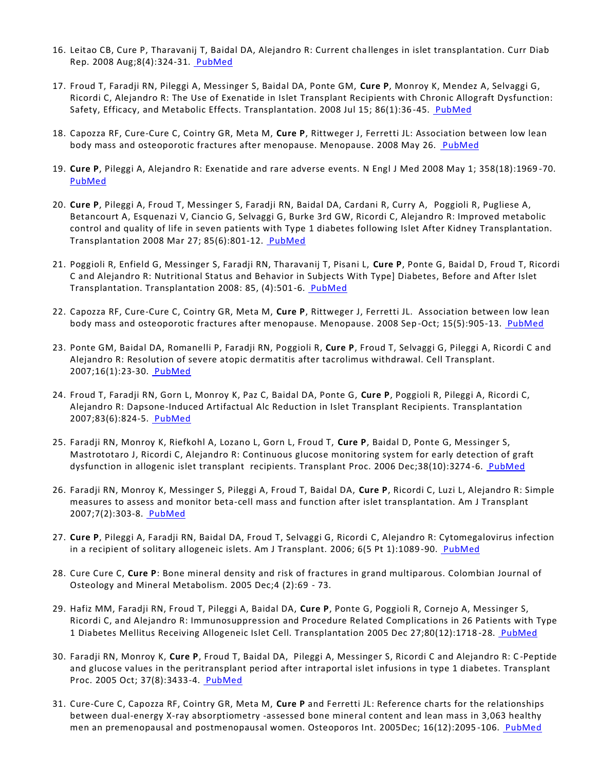- 16. Leitao CB, Cure P, Tharavanij T, Baidal DA, Alejandro R: Current cha llenges in islet transplantation. Curr Diab Rep. 2008 Aug;8(4):324-31. [PubMed](http://www.ncbi.nlm.nih.gov/pubmed/18631447)
- 17. Froud T, Faradji RN, Pileggi A, Messinger S, Baidal DA, Ponte GM, **Cure P**, Monroy K, Mendez A, Selvaggi G, Ricordi C, Alejandro R: The Use of Exenatide in Islet Transplant Recipients with Chronic Allograft Dysfunction: Safety, Efficacy, and Metabolic Effects. Transplantation. 2008 Jul 15; 86(1):36 -45. [PubMed](http://www.ncbi.nlm.nih.gov/pubmed/18622276)
- 18. Capozza RF, Cure-Cure C, Cointry GR, Meta M, **Cure P**, Rittweger J, Ferretti JL: Association between low lean body mass and osteoporotic fractures after menopause. Menopause. 2008 May 26. [PubMed](http://www.ncbi.nlm.nih.gov/pubmed/18520697)
- 19. **Cure P**, Pileggi A, Alejandro R: Exenatide and rare adverse events. N Engl J Med 2008 May 1; 358(18):1969 -70. [PubMed](http://www.ncbi.nlm.nih.gov/pubmed/18450614)
- 20. **Cure P**, Pileggi A, Froud T, Messinger S, Faradji RN, Baidal DA, Cardani R, Curry A, Poggioli R, Pugliese A, Betancourt A, Esquenazi V, Ciancio G, Selvaggi G, Burke 3rd GW, Ricordi C, Alejandro R: Improved metabolic control and quality of life in seven patients with Type 1 diabetes following Islet After Kidney Transplantation. Transplantation 2008 Mar 27; 85(6):801-12. [PubMed](http://www.ncbi.nlm.nih.gov/pubmed?term=cure%20p)
- 21. Poggioli R, Enfield G, Messinger S, Faradji RN, Tharavanij T, Pisani L, **Cure P**, Ponte G, Baidal D, Froud T, Ricordi C and Alejandro R: Nutritional Status and Behavior in Subjects With Type] Diabetes, Before and After Islet Transplantation. Transplantation 2008: 85, (4):501-6. [PubMed](http://www.ncbi.nlm.nih.gov/pubmed/18347527)
- 22. Capozza RF, Cure-Cure C, Cointry GR, Meta M, **Cure P**, Rittweger J, Ferretti JL. Association between low lean body mass and osteoporotic fractures after menopause. Menopause. 2008 Sep -Oct; 15(5):905-13. [PubMed](http://www.ncbi.nlm.nih.gov/pubmed/18520697)
- 23. Ponte GM, Baidal DA, Romanelli P, Faradji RN, Poggioli R, **Cure P**, Froud T, Selvaggi G, Pileggi A, Ricordi C and Alejandro R: Resolution of severe atopic dermatitis after tacrolimus withdrawal. Cell Transplant. 2007;16(1):23-30. [PubMed](http://www.ncbi.nlm.nih.gov/pubmed)
- 24. Froud T, Faradji RN, Gorn L, Monroy K, Paz C, Baidal DA, Ponte G, **Cure P**, Poggioli R, Pileggi A, Ricordi C, Alejandro R: Dapsone-Induced Artifactual Alc Reduction in Islet Transplant Recipients. Transplantation 2007;83(6):824-5. [PubMed](http://www.ncbi.nlm.nih.gov/pubmed/17414719)
- 25. Faradji RN, Monroy K, Riefkohl A, Lozano L, Gorn L, Froud T, **Cure P**, Baidal D, Ponte G, Messinger S, Mastrototaro J, Ricordi C, Alejandro R: Continuous glucose monitoring system for early detection of graft dysfunction in allogenic islet transplant recipients. Transplant Proc. 2006 Dec;38(10):3274 -6. [PubMed](http://www.ncbi.nlm.nih.gov/pubmed/17175247)
- 26. Faradji RN, Monroy K, Messinger S, Pileggi A, Froud T, Baidal DA, **Cure P**, Ricordi C, Luzi L, Alejandro R: Simple measures to assess and monitor beta-cell mass and function after islet transplantation. Am J Transplant 2007;7(2):303-8. [PubMed](http://www.ncbi.nlm.nih.gov/pubmed/17173660)
- 27. **Cure P**, Pileggi A, Faradji RN, Baidal DA, Froud T, Selvaggi G, Ricordi C, Alejandro R: Cytomegalovirus infection in a recipient of solitary allogeneic islets. Am J Transplant. 2006; 6(5 Pt 1):1089-90. [PubMed](http://www.ncbi.nlm.nih.gov/pubmed/16611351)
- 28. Cure Cure C, **Cure P**: Bone mineral density and risk of fractures in grand multiparous. Colombian Journal of Osteology and Mineral Metabolism. 2005 Dec;4 (2):69 - 73.
- 29. Hafiz MM, Faradji RN, Froud T, Pileggi A, Baidal DA, **Cure P**, Ponte G, Poggioli R, Cornejo A, Messinger S, Ricordi C, and Alejandro R: Immunosuppression and Procedure Related Complications in 26 Patients with Type 1 Diabetes Mellitus Receiving Allogeneic Islet Cell. Transplantation 2005 Dec 27;80(12):1718 -28. [PubMed](http://www.ncbi.nlm.nih.gov/pubmed/16378067)
- 30. Faradji RN, Monroy K, **Cure P**, Froud T, Baidal DA, Pileggi A, Messinger S, Ricordi C and Alejandro R: C -Peptide and glucose values in the peritransplant period after intraportal islet infusions in type 1 diabetes. Transplant Proc. 2005 Oct; 37(8):3433-4. [PubMed](http://www.ncbi.nlm.nih.gov/pubmed/16298619)
- 31. Cure-Cure C, Capozza RF, Cointry GR, Meta M, **Cure P** and Ferretti JL: Reference charts for the relationships between dual-energy X-ray absorptiometry -assessed bone mineral content and lean mass in 3,063 healthy men an premenopausal and postmenopausal women. Osteoporos Int. 2005Dec; 16(12):2095-106. [PubMed](http://www.ncbi.nlm.nih.gov/pubmed/15207769)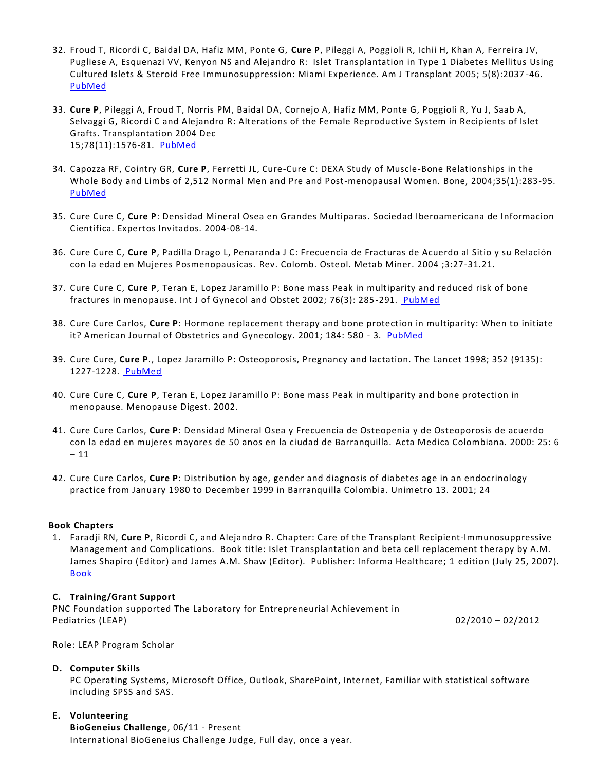- 32. Froud T, Ricordi C, Baidal DA, Hafiz MM, Ponte G, **Cure P**, Pileggi A, Poggioli R, Ichii H, Khan A, Ferreira JV, Pugliese A, Esquenazi VV, Kenyon NS and Alejandro R: Islet Transplantation in Type 1 Diabetes Mellitus Using Cultured Islets & Steroid Free Immunosuppression: Miami Experience. Am J Transplant 2005; 5(8):2037 -46. [PubMed](http://www.ncbi.nlm.nih.gov/pubmed/15996257)
- 33. **Cure P**, Pileggi A, Froud T, Norris PM, Baidal DA, Cornejo A, Hafiz MM, Ponte G, Poggioli R, Yu J, Saab A, Selvaggi G, Ricordi C and Alejandro R: Alterations of the Female Reproductive System in Recipients of Islet Grafts. Transplantation 2004 Dec 15;78(11):1576-81. [PubMed](http://www.ncbi.nlm.nih.gov/pubmed/15591944)
- 34. Capozza RF, Cointry GR, **Cure P**, Ferretti JL, Cure-Cure C: DEXA Study of Muscle-Bone Relationships in the Whole Body and Limbs of 2,512 Normal Men and Pre and Post-menopausal Women. Bone, 2004;35(1):283-95. [PubMed](http://www.ncbi.nlm.nih.gov/pubmed/15207769)
- 35. Cure Cure C, **Cure P**: Densidad Mineral Osea en Grandes Multiparas. Sociedad Iberoamericana de Informacion Cientifica. Expertos Invitados. 2004-08-14.
- 36. Cure Cure C, **Cure P**, Padilla Drago L, Penaranda J C: Frecuencia de Fracturas de Acuerdo al Sitio y su Relación con la edad en Mujeres Posmenopausicas. Rev. Colomb. Osteol. Metab Miner. 2004 ;3:27-31.21.
- 37. Cure Cure C, **Cure P**, Teran E, Lopez Jaramillo P: Bone mass Peak in multiparity and reduced risk of bone fractures in menopause. Int J of Gynecol and Obstet 2002; 76(3): 285-291. [PubMed](http://www.ncbi.nlm.nih.gov/pubmed/11880132)
- 38. Cure Cure Carlos, **Cure P**: Hormone replacement therapy and bone protection in multiparity: When to initiate it? American Journal of Obstetrics and Gynecology. 2001; 184: 580 - 3. [PubMed](http://www.ncbi.nlm.nih.gov/pubmed/11262456)
- 39. Cure Cure, **Cure P**., Lopez Jaramillo P: Osteoporosis, Pregnancy and lactation. The Lancet 1998; 352 (9135): 1227-1228. [PubMed](http://www.ncbi.nlm.nih.gov/pubmed?term=cure%20cc)
- 40. Cure Cure C, **Cure P**, Teran E, Lopez Jaramillo P: Bone mass Peak in multiparity and bone protection in menopause. Menopause Digest. 2002.
- 41. Cure Cure Carlos, **Cure P**: Densidad Mineral Osea y Frecuencia de Osteopenia y de Osteoporosis de acuerdo con la edad en mujeres mayores de 50 anos en la ciudad de Barranquilla. Acta Medica Colombiana. 2000: 25: 6 – 11
- 42. Cure Cure Carlos, **Cure P**: Distribution by age, gender and diagnosis of diabetes age in an endocrinology practice from January 1980 to December 1999 in Barranquilla Colombia. Unimetro 13. 2001; 24

## **Book Chapters**

1. Faradji RN, **Cure P**, Ricordi C, and Alejandro R. Chapter: Care of the Transplant Recipient-Immunosuppressive Management and Complications. Book title: Islet Transplantation and beta cell replacement therapy by A.M. James Shapiro (Editor) and James A.M. Shaw (Editor). Publisher: Informa Healthcare; 1 edition (July 25, 2007). [Book](http://www.amazon.com/Islet-Transplantation-Beta-Replacement-Therapy/dp/0824728629)

## **C. Training/Grant Support**

PNC Foundation supported The Laboratory for Entrepreneurial Achievement in Pediatrics (LEAP) 02/2010 – 02/2012

Role: LEAP Program Scholar

#### **D. Computer Skills**

PC Operating Systems, Microsoft Office, Outlook, SharePoint, Internet, Familiar with statistical software including SPSS and SAS.

**E. Volunteering**

**BioGeneius Challenge**, 06/11 - Present International BioGeneius Challenge Judge, Full day, once a year.